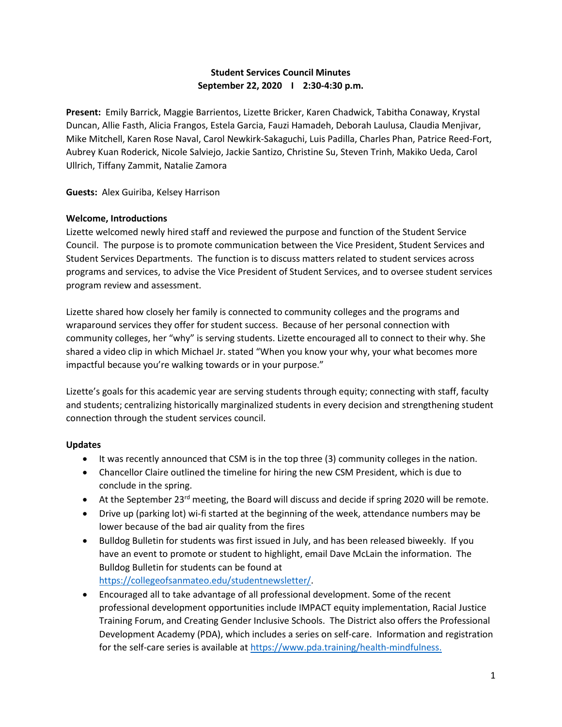# **Student Services Council Minutes September 22, 2020 I 2:30-4:30 p.m.**

**Present:** Emily Barrick, Maggie Barrientos, Lizette Bricker, Karen Chadwick, Tabitha Conaway, Krystal Duncan, Allie Fasth, Alicia Frangos, Estela Garcia, Fauzi Hamadeh, Deborah Laulusa, Claudia Menjivar, Mike Mitchell, Karen Rose Naval, Carol Newkirk-Sakaguchi, Luis Padilla, Charles Phan, Patrice Reed-Fort, Aubrey Kuan Roderick, Nicole Salviejo, Jackie Santizo, Christine Su, Steven Trinh, Makiko Ueda, Carol Ullrich, Tiffany Zammit, Natalie Zamora

**Guests:** Alex Guiriba, Kelsey Harrison

#### **Welcome, Introductions**

Lizette welcomed newly hired staff and reviewed the purpose and function of the Student Service Council. The purpose is to promote communication between the Vice President, Student Services and Student Services Departments. The function is to discuss matters related to student services across programs and services, to advise the Vice President of Student Services, and to oversee student services program review and assessment.

Lizette shared how closely her family is connected to community colleges and the programs and wraparound services they offer for student success. Because of her personal connection with community colleges, her "why" is serving students. Lizette encouraged all to connect to their why. She shared a video clip in which Michael Jr. stated "When you know your why, your what becomes more impactful because you're walking towards or in your purpose."

Lizette's goals for this academic year are serving students through equity; connecting with staff, faculty and students; centralizing historically marginalized students in every decision and strengthening student connection through the student services council.

## **Updates**

- It was recently announced that CSM is in the top three (3) community colleges in the nation.
- Chancellor Claire outlined the timeline for hiring the new CSM President, which is due to conclude in the spring.
- At the September 23<sup>rd</sup> meeting, the Board will discuss and decide if spring 2020 will be remote.
- Drive up (parking lot) wi-fi started at the beginning of the week, attendance numbers may be lower because of the bad air quality from the fires
- Bulldog Bulletin for students was first issued in July, and has been released biweekly. If you have an event to promote or student to highlight, email Dave McLain the information. The Bulldog Bulletin for students can be found at [https://collegeofsanmateo.edu/studentnewsletter/.](https://collegeofsanmateo.edu/studentnewsletter/)
- Encouraged all to take advantage of all professional development. Some of the recent professional development opportunities include IMPACT equity implementation, Racial Justice Training Forum, and Creating Gender Inclusive Schools. The District also offers the Professional Development Academy (PDA), which includes a series on self-care. Information and registration for the self-care series is available at [https://www.pda.training/health-mindfulness.](https://www.pda.training/health-mindfulness)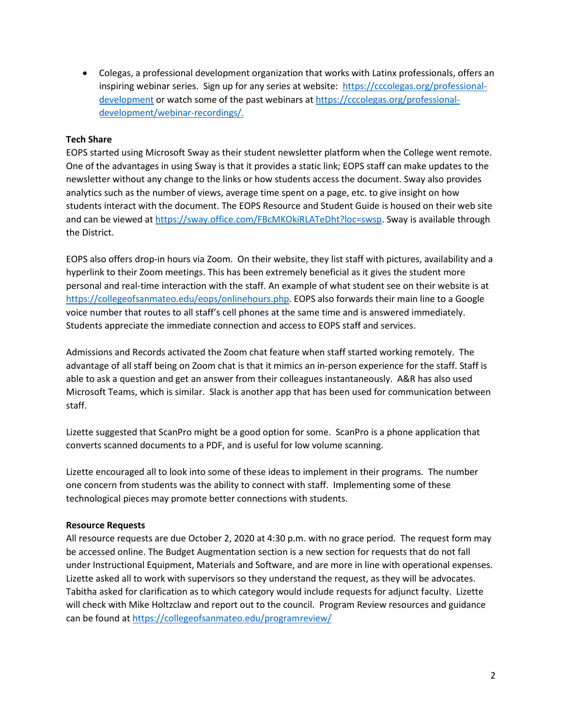• Colegas, a professional development organization that works with Latinx professionals, offers an inspiring webinar series. Sign up for any series at website: [https://cccolegas.org/professional](https://cccolegas.org/professional-development)[development](https://cccolegas.org/professional-development) or watch some of the past webinars at [https://cccolegas.org/professional](https://cccolegas.org/professional-development/webinar-recordings/)[development/webinar-recordings/.](https://cccolegas.org/professional-development/webinar-recordings/)

## **Tech Share**

EOPS started using Microsoft Sway as their student newsletter platform when the College went remote. One of the advantages in using Sway is that it provides a static link; EOPS staff can make updates to the newsletter without any change to the links or how students access the document. Sway also provides analytics such as the number of views, average time spent on a page, etc. to give insight on how students interact with the document. The EOPS Resource and Student Guide is housed on their web site and can be viewed at [https://sway.office.com/FBcMKOkiRLATeDht?loc=swsp.](https://sway.office.com/FBcMKOkiRLATeDht?loc=swsp) Sway is available through the District.

EOPS also offers drop-in hours via Zoom. On their website, they list staff with pictures, availability and a hyperlink to their Zoom meetings. This has been extremely beneficial as it gives the student more personal and real-time interaction with the staff. An example of what student see on their website is at [https://collegeofsanmateo.edu/eops/onlinehours.php.](https://collegeofsanmateo.edu/eops/onlinehours.php) EOPS also forwards their main line to a Google voice number that routes to all staff's cell phones at the same time and is answered immediately. Students appreciate the immediate connection and access to EOPS staff and services.

Admissions and Records activated the Zoom chat feature when staff started working remotely. The advantage of all staff being on Zoom chat is that it mimics an in-person experience for the staff. Staff is able to ask a question and get an answer from their colleagues instantaneously. A&R has also used Microsoft Teams, which is similar. Slack is another app that has been used for communication between staff.

Lizette suggested that ScanPro might be a good option for some. ScanPro is a phone application that converts scanned documents to a PDF, and is useful for low volume scanning.

Lizette encouraged all to look into some of these ideas to implement in their programs. The number one concern from students was the ability to connect with staff. Implementing some of these technological pieces may promote better connections with students.

## **Resource Requests**

All resource requests are due October 2, 2020 at 4:30 p.m. with no grace period. The request form may be accessed online. The Budget Augmentation section is a new section for requests that do not fall under Instructional Equipment, Materials and Software, and are more in line with operational expenses. Lizette asked all to work with supervisors so they understand the request, as they will be advocates. Tabitha asked for clarification as to which category would include requests for adjunct faculty. Lizette will check with Mike Holtzclaw and report out to the council. Program Review resources and guidance can be found at <https://collegeofsanmateo.edu/programreview/>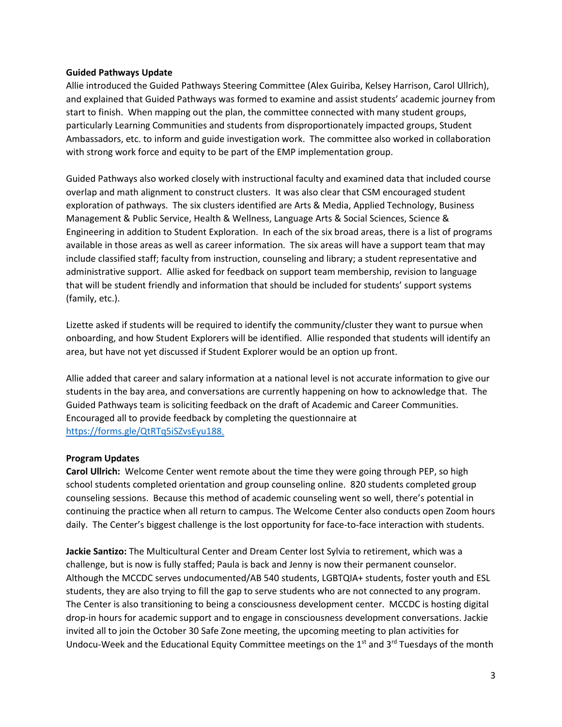#### **Guided Pathways Update**

Allie introduced the Guided Pathways Steering Committee (Alex Guiriba, Kelsey Harrison, Carol Ullrich), and explained that Guided Pathways was formed to examine and assist students' academic journey from start to finish. When mapping out the plan, the committee connected with many student groups, particularly Learning Communities and students from disproportionately impacted groups, Student Ambassadors, etc. to inform and guide investigation work. The committee also worked in collaboration with strong work force and equity to be part of the EMP implementation group.

Guided Pathways also worked closely with instructional faculty and examined data that included course overlap and math alignment to construct clusters. It was also clear that CSM encouraged student exploration of pathways. The six clusters identified are Arts & Media, Applied Technology, Business Management & Public Service, Health & Wellness, Language Arts & Social Sciences, Science & Engineering in addition to Student Exploration. In each of the six broad areas, there is a list of programs available in those areas as well as career information. The six areas will have a support team that may include classified staff; faculty from instruction, counseling and library; a student representative and administrative support. Allie asked for feedback on support team membership, revision to language that will be student friendly and information that should be included for students' support systems (family, etc.).

Lizette asked if students will be required to identify the community/cluster they want to pursue when onboarding, and how Student Explorers will be identified. Allie responded that students will identify an area, but have not yet discussed if Student Explorer would be an option up front.

Allie added that career and salary information at a national level is not accurate information to give our students in the bay area, and conversations are currently happening on how to acknowledge that. The Guided Pathways team is soliciting feedback on the draft of Academic and Career Communities. Encouraged all to provide feedback by completing the questionnaire at [https://forms.gle/QtRTq5iSZvsEyu188.](https://forms.gle/QtRTq5iSZvsEyu188)

## **Program Updates**

**Carol Ullrich:** Welcome Center went remote about the time they were going through PEP, so high school students completed orientation and group counseling online. 820 students completed group counseling sessions. Because this method of academic counseling went so well, there's potential in continuing the practice when all return to campus. The Welcome Center also conducts open Zoom hours daily. The Center's biggest challenge is the lost opportunity for face-to-face interaction with students.

**Jackie Santizo:** The Multicultural Center and Dream Center lost Sylvia to retirement, which was a challenge, but is now is fully staffed; Paula is back and Jenny is now their permanent counselor. Although the MCCDC serves undocumented/AB 540 students, LGBTQIA+ students, foster youth and ESL students, they are also trying to fill the gap to serve students who are not connected to any program. The Center is also transitioning to being a consciousness development center. MCCDC is hosting digital drop-in hours for academic support and to engage in consciousness development conversations. Jackie invited all to join the October 30 Safe Zone meeting, the upcoming meeting to plan activities for Undocu-Week and the Educational Equity Committee meetings on the 1<sup>st</sup> and 3<sup>rd</sup> Tuesdays of the month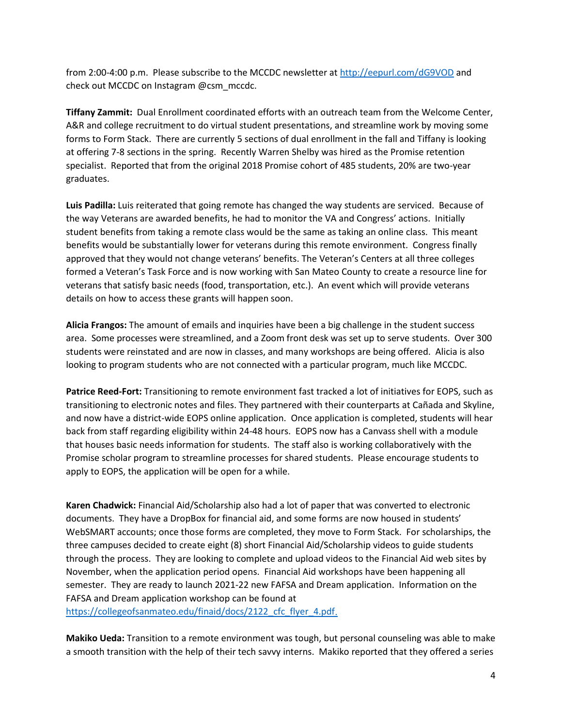from 2:00-4:00 p.m. Please subscribe to the MCCDC newsletter a[t http://eepurl.com/dG9VOD](http://eepurl.com/dG9VOD) and check out MCCDC on Instagram @csm\_mccdc.

**Tiffany Zammit:** Dual Enrollment coordinated efforts with an outreach team from the Welcome Center, A&R and college recruitment to do virtual student presentations, and streamline work by moving some forms to Form Stack. There are currently 5 sections of dual enrollment in the fall and Tiffany is looking at offering 7-8 sections in the spring. Recently Warren Shelby was hired as the Promise retention specialist. Reported that from the original 2018 Promise cohort of 485 students, 20% are two-year graduates.

**Luis Padilla:** Luis reiterated that going remote has changed the way students are serviced. Because of the way Veterans are awarded benefits, he had to monitor the VA and Congress' actions. Initially student benefits from taking a remote class would be the same as taking an online class. This meant benefits would be substantially lower for veterans during this remote environment. Congress finally approved that they would not change veterans' benefits. The Veteran's Centers at all three colleges formed a Veteran's Task Force and is now working with San Mateo County to create a resource line for veterans that satisfy basic needs (food, transportation, etc.). An event which will provide veterans details on how to access these grants will happen soon.

**Alicia Frangos:** The amount of emails and inquiries have been a big challenge in the student success area. Some processes were streamlined, and a Zoom front desk was set up to serve students. Over 300 students were reinstated and are now in classes, and many workshops are being offered. Alicia is also looking to program students who are not connected with a particular program, much like MCCDC.

**Patrice Reed-Fort:** Transitioning to remote environment fast tracked a lot of initiatives for EOPS, such as transitioning to electronic notes and files. They partnered with their counterparts at Cañada and Skyline, and now have a district-wide EOPS online application. Once application is completed, students will hear back from staff regarding eligibility within 24-48 hours. EOPS now has a Canvass shell with a module that houses basic needs information for students. The staff also is working collaboratively with the Promise scholar program to streamline processes for shared students. Please encourage students to apply to EOPS, the application will be open for a while.

**Karen Chadwick:** Financial Aid/Scholarship also had a lot of paper that was converted to electronic documents. They have a DropBox for financial aid, and some forms are now housed in students' WebSMART accounts; once those forms are completed, they move to Form Stack. For scholarships, the three campuses decided to create eight (8) short Financial Aid/Scholarship videos to guide students through the process. They are looking to complete and upload videos to the Financial Aid web sites by November, when the application period opens. Financial Aid workshops have been happening all semester. They are ready to launch 2021-22 new FAFSA and Dream application. Information on the FAFSA and Dream application workshop can be found at [https://collegeofsanmateo.edu/finaid/docs/2122\\_cfc\\_flyer\\_4.pdf.](https://collegeofsanmateo.edu/finaid/docs/2122_cfc_flyer_4.pdf)

**Makiko Ueda:** Transition to a remote environment was tough, but personal counseling was able to make a smooth transition with the help of their tech savvy interns. Makiko reported that they offered a series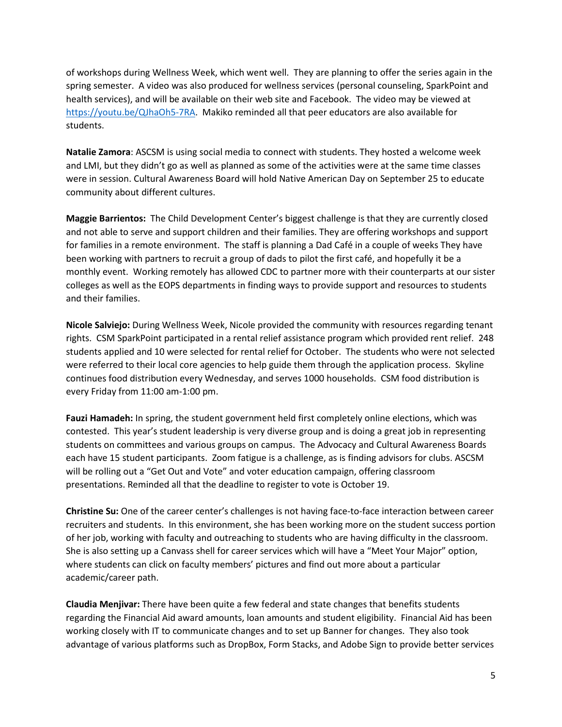of workshops during Wellness Week, which went well. They are planning to offer the series again in the spring semester. A video was also produced for wellness services (personal counseling, SparkPoint and health services), and will be available on their web site and Facebook. The video may be viewed at [https://youtu.be/QJhaOh5-7RA.](https://youtu.be/QJhaOh5-7RA) Makiko reminded all that peer educators are also available for students.

**Natalie Zamora**: ASCSM is using social media to connect with students. They hosted a welcome week and LMI, but they didn't go as well as planned as some of the activities were at the same time classes were in session. Cultural Awareness Board will hold Native American Day on September 25 to educate community about different cultures.

**Maggie Barrientos:** The Child Development Center's biggest challenge is that they are currently closed and not able to serve and support children and their families. They are offering workshops and support for families in a remote environment. The staff is planning a Dad Café in a couple of weeks They have been working with partners to recruit a group of dads to pilot the first café, and hopefully it be a monthly event. Working remotely has allowed CDC to partner more with their counterparts at our sister colleges as well as the EOPS departments in finding ways to provide support and resources to students and their families.

**Nicole Salviejo:** During Wellness Week, Nicole provided the community with resources regarding tenant rights. CSM SparkPoint participated in a rental relief assistance program which provided rent relief. 248 students applied and 10 were selected for rental relief for October. The students who were not selected were referred to their local core agencies to help guide them through the application process. Skyline continues food distribution every Wednesday, and serves 1000 households. CSM food distribution is every Friday from 11:00 am-1:00 pm.

**Fauzi Hamadeh:** In spring, the student government held first completely online elections, which was contested. This year's student leadership is very diverse group and is doing a great job in representing students on committees and various groups on campus. The Advocacy and Cultural Awareness Boards each have 15 student participants. Zoom fatigue is a challenge, as is finding advisors for clubs. ASCSM will be rolling out a "Get Out and Vote" and voter education campaign, offering classroom presentations. Reminded all that the deadline to register to vote is October 19.

**Christine Su:** One of the career center's challenges is not having face-to-face interaction between career recruiters and students. In this environment, she has been working more on the student success portion of her job, working with faculty and outreaching to students who are having difficulty in the classroom. She is also setting up a Canvass shell for career services which will have a "Meet Your Major" option, where students can click on faculty members' pictures and find out more about a particular academic/career path.

**Claudia Menjivar:** There have been quite a few federal and state changes that benefits students regarding the Financial Aid award amounts, loan amounts and student eligibility. Financial Aid has been working closely with IT to communicate changes and to set up Banner for changes. They also took advantage of various platforms such as DropBox, Form Stacks, and Adobe Sign to provide better services